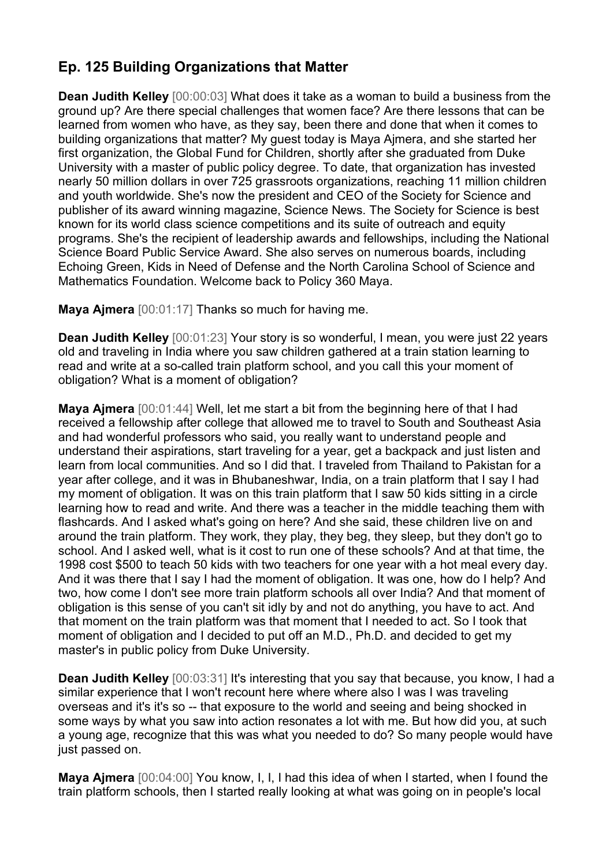## **Ep. 125 Building Organizations that Matter**

**Dean Judith Kelley** [00:00:03] What does it take as a woman to build a business from the ground up? Are there special challenges that women face? Are there lessons that can be learned from women who have, as they say, been there and done that when it comes to building organizations that matter? My guest today is Maya Ajmera, and she started her first organization, the Global Fund for Children, shortly after she graduated from Duke University with a master of public policy degree. To date, that organization has invested nearly 50 million dollars in over 725 grassroots organizations, reaching 11 million children and youth worldwide. She's now the president and CEO of the Society for Science and publisher of its award winning magazine, Science News. The Society for Science is best known for its world class science competitions and its suite of outreach and equity programs. She's the recipient of leadership awards and fellowships, including the National Science Board Public Service Award. She also serves on numerous boards, including Echoing Green, Kids in Need of Defense and the North Carolina School of Science and Mathematics Foundation. Welcome back to Policy 360 Maya.

**Maya Ajmera** [00:01:17] Thanks so much for having me.

**Dean Judith Kelley** [00:01:23] Your story is so wonderful, I mean, you were just 22 years old and traveling in India where you saw children gathered at a train station learning to read and write at a so-called train platform school, and you call this your moment of obligation? What is a moment of obligation?

**Maya Ajmera** [00:01:44] Well, let me start a bit from the beginning here of that I had received a fellowship after college that allowed me to travel to South and Southeast Asia and had wonderful professors who said, you really want to understand people and understand their aspirations, start traveling for a year, get a backpack and just listen and learn from local communities. And so I did that. I traveled from Thailand to Pakistan for a year after college, and it was in Bhubaneshwar, India, on a train platform that I say I had my moment of obligation. It was on this train platform that I saw 50 kids sitting in a circle learning how to read and write. And there was a teacher in the middle teaching them with flashcards. And I asked what's going on here? And she said, these children live on and around the train platform. They work, they play, they beg, they sleep, but they don't go to school. And I asked well, what is it cost to run one of these schools? And at that time, the 1998 cost \$500 to teach 50 kids with two teachers for one year with a hot meal every day. And it was there that I say I had the moment of obligation. It was one, how do I help? And two, how come I don't see more train platform schools all over India? And that moment of obligation is this sense of you can't sit idly by and not do anything, you have to act. And that moment on the train platform was that moment that I needed to act. So I took that moment of obligation and I decided to put off an M.D., Ph.D. and decided to get my master's in public policy from Duke University.

**Dean Judith Kelley** [00:03:31] It's interesting that you say that because, you know, I had a similar experience that I won't recount here where where also I was I was traveling overseas and it's it's so -- that exposure to the world and seeing and being shocked in some ways by what you saw into action resonates a lot with me. But how did you, at such a young age, recognize that this was what you needed to do? So many people would have just passed on.

**Maya Ajmera** [00:04:00] You know, I, I, I had this idea of when I started, when I found the train platform schools, then I started really looking at what was going on in people's local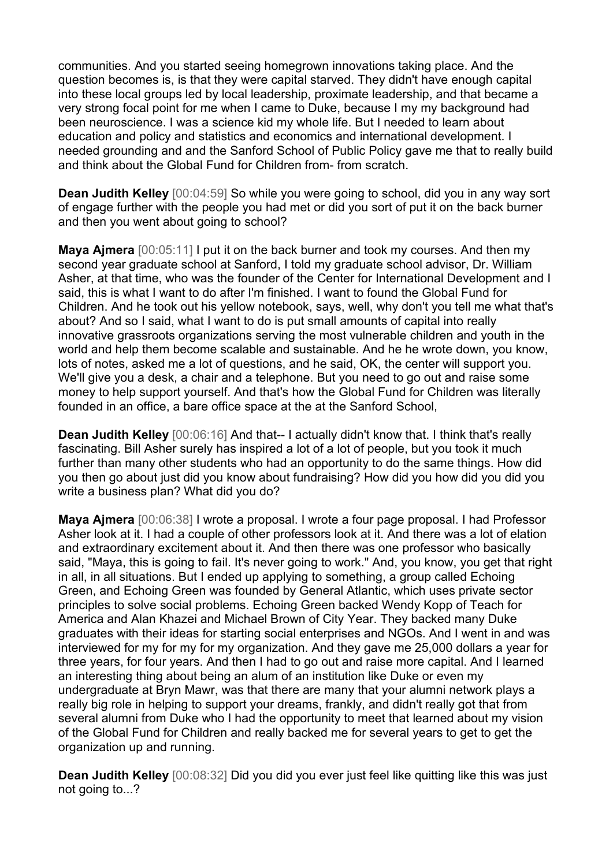communities. And you started seeing homegrown innovations taking place. And the question becomes is, is that they were capital starved. They didn't have enough capital into these local groups led by local leadership, proximate leadership, and that became a very strong focal point for me when I came to Duke, because I my my background had been neuroscience. I was a science kid my whole life. But I needed to learn about education and policy and statistics and economics and international development. I needed grounding and and the Sanford School of Public Policy gave me that to really build and think about the Global Fund for Children from- from scratch.

**Dean Judith Kelley** [00:04:59] So while you were going to school, did you in any way sort of engage further with the people you had met or did you sort of put it on the back burner and then you went about going to school?

**Maya Ajmera** [00:05:11] I put it on the back burner and took my courses. And then my second year graduate school at Sanford, I told my graduate school advisor, Dr. William Asher, at that time, who was the founder of the Center for International Development and I said, this is what I want to do after I'm finished. I want to found the Global Fund for Children. And he took out his yellow notebook, says, well, why don't you tell me what that's about? And so I said, what I want to do is put small amounts of capital into really innovative grassroots organizations serving the most vulnerable children and youth in the world and help them become scalable and sustainable. And he he wrote down, you know, lots of notes, asked me a lot of questions, and he said, OK, the center will support you. We'll give you a desk, a chair and a telephone. But you need to go out and raise some money to help support yourself. And that's how the Global Fund for Children was literally founded in an office, a bare office space at the at the Sanford School,

**Dean Judith Kelley** [00:06:16] And that-- I actually didn't know that. I think that's really fascinating. Bill Asher surely has inspired a lot of a lot of people, but you took it much further than many other students who had an opportunity to do the same things. How did you then go about just did you know about fundraising? How did you how did you did you write a business plan? What did you do?

**Maya Ajmera** [00:06:38] I wrote a proposal. I wrote a four page proposal. I had Professor Asher look at it. I had a couple of other professors look at it. And there was a lot of elation and extraordinary excitement about it. And then there was one professor who basically said, "Maya, this is going to fail. It's never going to work." And, you know, you get that right in all, in all situations. But I ended up applying to something, a group called Echoing Green, and Echoing Green was founded by General Atlantic, which uses private sector principles to solve social problems. Echoing Green backed Wendy Kopp of Teach for America and Alan Khazei and Michael Brown of City Year. They backed many Duke graduates with their ideas for starting social enterprises and NGOs. And I went in and was interviewed for my for my for my organization. And they gave me 25,000 dollars a year for three years, for four years. And then I had to go out and raise more capital. And I learned an interesting thing about being an alum of an institution like Duke or even my undergraduate at Bryn Mawr, was that there are many that your alumni network plays a really big role in helping to support your dreams, frankly, and didn't really got that from several alumni from Duke who I had the opportunity to meet that learned about my vision of the Global Fund for Children and really backed me for several years to get to get the organization up and running.

**Dean Judith Kelley** [00:08:32] Did you did you ever just feel like quitting like this was just not going to...?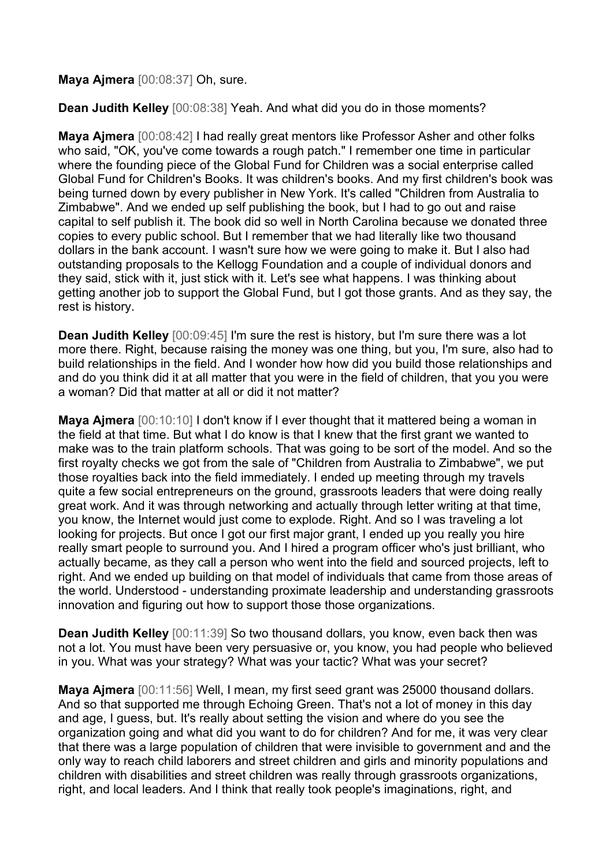## **Maya Ajmera** [00:08:37] Oh, sure.

**Dean Judith Kelley** [00:08:38] Yeah. And what did you do in those moments?

**Maya Ajmera** [00:08:42] I had really great mentors like Professor Asher and other folks who said, "OK, you've come towards a rough patch." I remember one time in particular where the founding piece of the Global Fund for Children was a social enterprise called Global Fund for Children's Books. It was children's books. And my first children's book was being turned down by every publisher in New York. It's called "Children from Australia to Zimbabwe". And we ended up self publishing the book, but I had to go out and raise capital to self publish it. The book did so well in North Carolina because we donated three copies to every public school. But I remember that we had literally like two thousand dollars in the bank account. I wasn't sure how we were going to make it. But I also had outstanding proposals to the Kellogg Foundation and a couple of individual donors and they said, stick with it, just stick with it. Let's see what happens. I was thinking about getting another job to support the Global Fund, but I got those grants. And as they say, the rest is history.

**Dean Judith Kelley** [00:09:45] I'm sure the rest is history, but I'm sure there was a lot more there. Right, because raising the money was one thing, but you, I'm sure, also had to build relationships in the field. And I wonder how how did you build those relationships and and do you think did it at all matter that you were in the field of children, that you you were a woman? Did that matter at all or did it not matter?

**Maya Ajmera** [00:10:10] I don't know if I ever thought that it mattered being a woman in the field at that time. But what I do know is that I knew that the first grant we wanted to make was to the train platform schools. That was going to be sort of the model. And so the first royalty checks we got from the sale of "Children from Australia to Zimbabwe", we put those royalties back into the field immediately. I ended up meeting through my travels quite a few social entrepreneurs on the ground, grassroots leaders that were doing really great work. And it was through networking and actually through letter writing at that time, you know, the Internet would just come to explode. Right. And so I was traveling a lot looking for projects. But once I got our first major grant, I ended up you really you hire really smart people to surround you. And I hired a program officer who's just brilliant, who actually became, as they call a person who went into the field and sourced projects, left to right. And we ended up building on that model of individuals that came from those areas of the world. Understood - understanding proximate leadership and understanding grassroots innovation and figuring out how to support those those organizations.

**Dean Judith Kelley** [00:11:39] So two thousand dollars, you know, even back then was not a lot. You must have been very persuasive or, you know, you had people who believed in you. What was your strategy? What was your tactic? What was your secret?

**Maya Ajmera** [00:11:56] Well, I mean, my first seed grant was 25000 thousand dollars. And so that supported me through Echoing Green. That's not a lot of money in this day and age, I guess, but. It's really about setting the vision and where do you see the organization going and what did you want to do for children? And for me, it was very clear that there was a large population of children that were invisible to government and and the only way to reach child laborers and street children and girls and minority populations and children with disabilities and street children was really through grassroots organizations, right, and local leaders. And I think that really took people's imaginations, right, and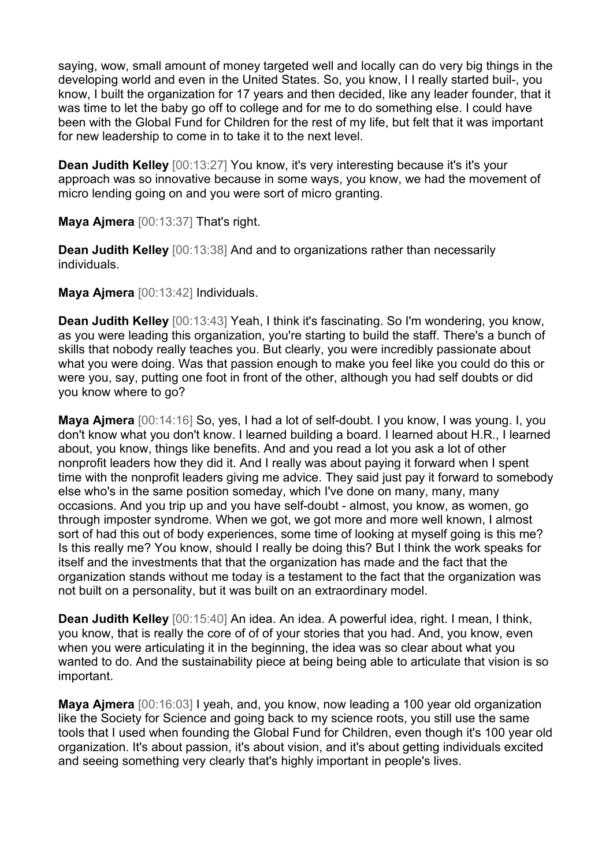saying, wow, small amount of money targeted well and locally can do very big things in the developing world and even in the United States. So, you know, I I really started buil-, you know, I built the organization for 17 years and then decided, like any leader founder, that it was time to let the baby go off to college and for me to do something else. I could have been with the Global Fund for Children for the rest of my life, but felt that it was important for new leadership to come in to take it to the next level.

**Dean Judith Kelley** [00:13:27] You know, it's very interesting because it's it's your approach was so innovative because in some ways, you know, we had the movement of micro lending going on and you were sort of micro granting.

**Maya Ajmera** [00:13:37] That's right.

**Dean Judith Kelley** [00:13:38] And and to organizations rather than necessarily individuals.

**Maya Ajmera** [00:13:42] Individuals.

**Dean Judith Kelley** [00:13:43] Yeah, I think it's fascinating. So I'm wondering, you know, as you were leading this organization, you're starting to build the staff. There's a bunch of skills that nobody really teaches you. But clearly, you were incredibly passionate about what you were doing. Was that passion enough to make you feel like you could do this or were you, say, putting one foot in front of the other, although you had self doubts or did you know where to go?

**Maya Ajmera** [00:14:16] So, yes, I had a lot of self-doubt. I you know, I was young. I, you don't know what you don't know. I learned building a board. I learned about H.R., I learned about, you know, things like benefits. And and you read a lot you ask a lot of other nonprofit leaders how they did it. And I really was about paying it forward when I spent time with the nonprofit leaders giving me advice. They said just pay it forward to somebody else who's in the same position someday, which I've done on many, many, many occasions. And you trip up and you have self-doubt - almost, you know, as women, go through imposter syndrome. When we got, we got more and more well known, I almost sort of had this out of body experiences, some time of looking at myself going is this me? Is this really me? You know, should I really be doing this? But I think the work speaks for itself and the investments that that the organization has made and the fact that the organization stands without me today is a testament to the fact that the organization was not built on a personality, but it was built on an extraordinary model.

**Dean Judith Kelley** [00:15:40] An idea. An idea. A powerful idea, right. I mean, I think, you know, that is really the core of of of your stories that you had. And, you know, even when you were articulating it in the beginning, the idea was so clear about what you wanted to do. And the sustainability piece at being being able to articulate that vision is so important.

**Maya Ajmera** [00:16:03] I yeah, and, you know, now leading a 100 year old organization like the Society for Science and going back to my science roots, you still use the same tools that I used when founding the Global Fund for Children, even though it's 100 year old organization. It's about passion, it's about vision, and it's about getting individuals excited and seeing something very clearly that's highly important in people's lives.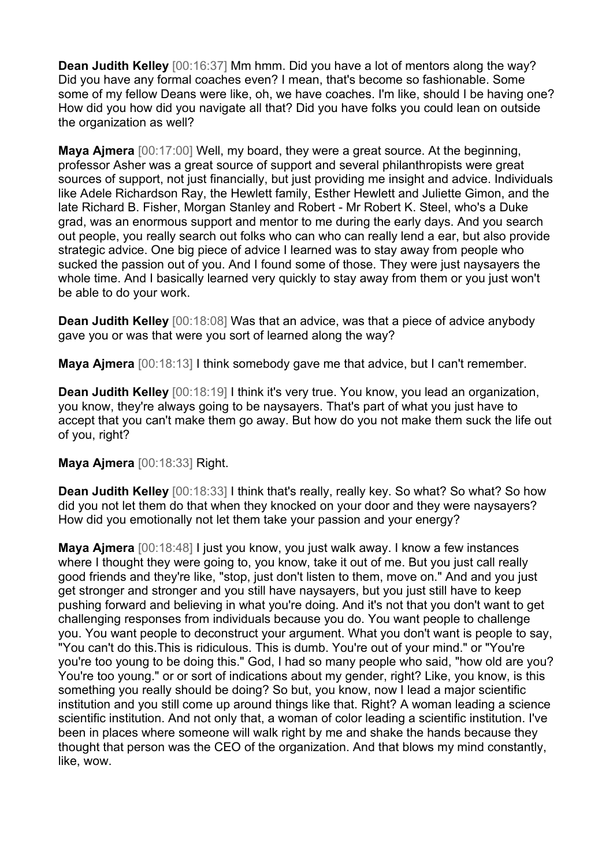**Dean Judith Kelley** [00:16:37] Mm hmm. Did you have a lot of mentors along the way? Did you have any formal coaches even? I mean, that's become so fashionable. Some some of my fellow Deans were like, oh, we have coaches. I'm like, should I be having one? How did you how did you navigate all that? Did you have folks you could lean on outside the organization as well?

**Maya Ajmera** [00:17:00] Well, my board, they were a great source. At the beginning, professor Asher was a great source of support and several philanthropists were great sources of support, not just financially, but just providing me insight and advice. Individuals like Adele Richardson Ray, the Hewlett family, Esther Hewlett and Juliette Gimon, and the late Richard B. Fisher, Morgan Stanley and Robert - Mr Robert K. Steel, who's a Duke grad, was an enormous support and mentor to me during the early days. And you search out people, you really search out folks who can who can really lend a ear, but also provide strategic advice. One big piece of advice I learned was to stay away from people who sucked the passion out of you. And I found some of those. They were just naysayers the whole time. And I basically learned very quickly to stay away from them or you just won't be able to do your work.

**Dean Judith Kelley** [00:18:08] Was that an advice, was that a piece of advice anybody gave you or was that were you sort of learned along the way?

**Maya Ajmera** [00:18:13] I think somebody gave me that advice, but I can't remember.

**Dean Judith Kelley** [00:18:19] I think it's very true. You know, you lead an organization, you know, they're always going to be naysayers. That's part of what you just have to accept that you can't make them go away. But how do you not make them suck the life out of you, right?

## **Maya Ajmera** [00:18:33] Right.

**Dean Judith Kelley** [00:18:33] I think that's really, really key. So what? So what? So how did you not let them do that when they knocked on your door and they were naysayers? How did you emotionally not let them take your passion and your energy?

**Maya Ajmera** [00:18:48] I just you know, you just walk away. I know a few instances where I thought they were going to, you know, take it out of me. But you just call really good friends and they're like, "stop, just don't listen to them, move on." And and you just get stronger and stronger and you still have naysayers, but you just still have to keep pushing forward and believing in what you're doing. And it's not that you don't want to get challenging responses from individuals because you do. You want people to challenge you. You want people to deconstruct your argument. What you don't want is people to say, "You can't do this.This is ridiculous. This is dumb. You're out of your mind." or "You're you're too young to be doing this." God, I had so many people who said, "how old are you? You're too young." or or sort of indications about my gender, right? Like, you know, is this something you really should be doing? So but, you know, now I lead a major scientific institution and you still come up around things like that. Right? A woman leading a science scientific institution. And not only that, a woman of color leading a scientific institution. I've been in places where someone will walk right by me and shake the hands because they thought that person was the CEO of the organization. And that blows my mind constantly, like, wow.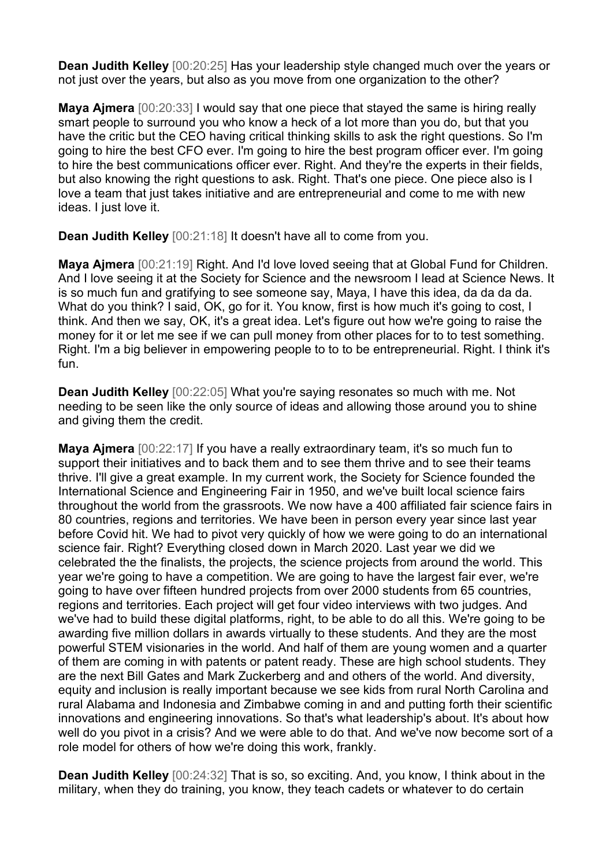**Dean Judith Kelley** [00:20:25] Has your leadership style changed much over the years or not just over the years, but also as you move from one organization to the other?

**Maya Ajmera** [00:20:33] I would say that one piece that stayed the same is hiring really smart people to surround you who know a heck of a lot more than you do, but that you have the critic but the CEO having critical thinking skills to ask the right questions. So I'm going to hire the best CFO ever. I'm going to hire the best program officer ever. I'm going to hire the best communications officer ever. Right. And they're the experts in their fields, but also knowing the right questions to ask. Right. That's one piece. One piece also is I love a team that just takes initiative and are entrepreneurial and come to me with new ideas. I just love it.

**Dean Judith Kelley** [00:21:18] It doesn't have all to come from you.

**Maya Ajmera** [00:21:19] Right. And I'd love loved seeing that at Global Fund for Children. And I love seeing it at the Society for Science and the newsroom I lead at Science News. It is so much fun and gratifying to see someone say, Maya, I have this idea, da da da da. What do you think? I said, OK, go for it. You know, first is how much it's going to cost, I think. And then we say, OK, it's a great idea. Let's figure out how we're going to raise the money for it or let me see if we can pull money from other places for to to test something. Right. I'm a big believer in empowering people to to to be entrepreneurial. Right. I think it's fun.

**Dean Judith Kelley** [00:22:05] What you're saying resonates so much with me. Not needing to be seen like the only source of ideas and allowing those around you to shine and giving them the credit.

**Maya Ajmera** [00:22:17] If you have a really extraordinary team, it's so much fun to support their initiatives and to back them and to see them thrive and to see their teams thrive. I'll give a great example. In my current work, the Society for Science founded the International Science and Engineering Fair in 1950, and we've built local science fairs throughout the world from the grassroots. We now have a 400 affiliated fair science fairs in 80 countries, regions and territories. We have been in person every year since last year before Covid hit. We had to pivot very quickly of how we were going to do an international science fair. Right? Everything closed down in March 2020. Last year we did we celebrated the the finalists, the projects, the science projects from around the world. This year we're going to have a competition. We are going to have the largest fair ever, we're going to have over fifteen hundred projects from over 2000 students from 65 countries, regions and territories. Each project will get four video interviews with two judges. And we've had to build these digital platforms, right, to be able to do all this. We're going to be awarding five million dollars in awards virtually to these students. And they are the most powerful STEM visionaries in the world. And half of them are young women and a quarter of them are coming in with patents or patent ready. These are high school students. They are the next Bill Gates and Mark Zuckerberg and and others of the world. And diversity, equity and inclusion is really important because we see kids from rural North Carolina and rural Alabama and Indonesia and Zimbabwe coming in and and putting forth their scientific innovations and engineering innovations. So that's what leadership's about. It's about how well do you pivot in a crisis? And we were able to do that. And we've now become sort of a role model for others of how we're doing this work, frankly.

**Dean Judith Kelley** [00:24:32] That is so, so exciting. And, you know, I think about in the military, when they do training, you know, they teach cadets or whatever to do certain